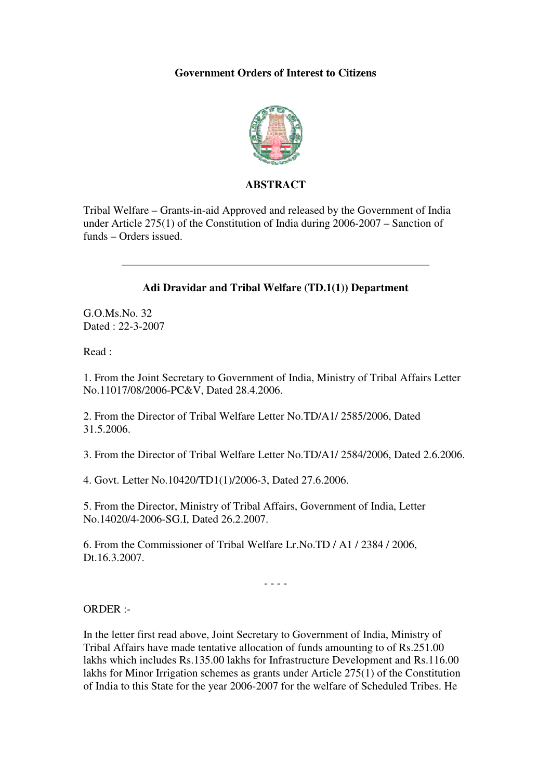### **Government Orders of Interest to Citizens**



### **ABSTRACT**

Tribal Welfare – Grants-in-aid Approved and released by the Government of India under Article 275(1) of the Constitution of India during 2006-2007 – Sanction of funds – Orders issued.

#### **Adi Dravidar and Tribal Welfare (TD.1(1)) Department**

G.O.Ms.No. 32 Dated : 22-3-2007

Read :

1. From the Joint Secretary to Government of India, Ministry of Tribal Affairs Letter No.11017/08/2006-PC&V, Dated 28.4.2006.

2. From the Director of Tribal Welfare Letter No.TD/A1/ 2585/2006, Dated 31.5.2006.

3. From the Director of Tribal Welfare Letter No.TD/A1/ 2584/2006, Dated 2.6.2006.

4. Govt. Letter No.10420/TD1(1)/2006-3, Dated 27.6.2006.

5. From the Director, Ministry of Tribal Affairs, Government of India, Letter No.14020/4-2006-SG.I, Dated 26.2.2007.

6. From the Commissioner of Tribal Welfare Lr.No.TD / A1 / 2384 / 2006, Dt.16.3.2007.

- - - -

ORDER :-

In the letter first read above, Joint Secretary to Government of India, Ministry of Tribal Affairs have made tentative allocation of funds amounting to of Rs.251.00 lakhs which includes Rs.135.00 lakhs for Infrastructure Development and Rs.116.00 lakhs for Minor Irrigation schemes as grants under Article 275(1) of the Constitution of India to this State for the year 2006-2007 for the welfare of Scheduled Tribes. He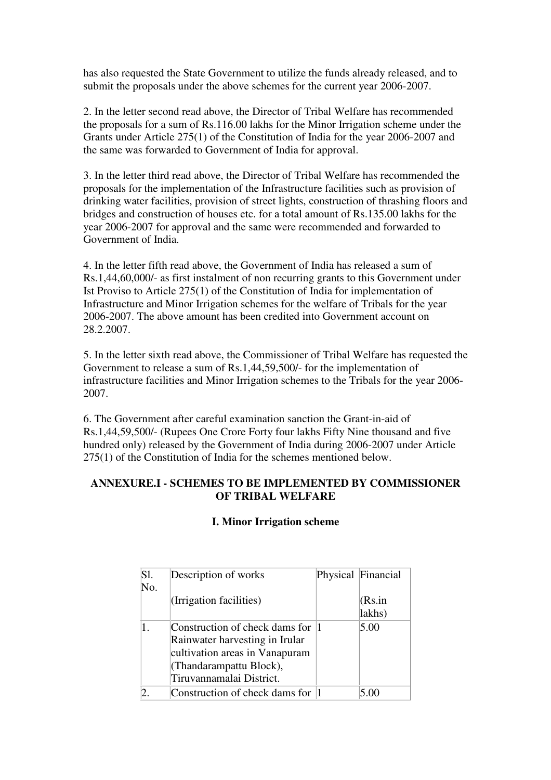has also requested the State Government to utilize the funds already released, and to submit the proposals under the above schemes for the current year 2006-2007.

2. In the letter second read above, the Director of Tribal Welfare has recommended the proposals for a sum of Rs.116.00 lakhs for the Minor Irrigation scheme under the Grants under Article 275(1) of the Constitution of India for the year 2006-2007 and the same was forwarded to Government of India for approval.

3. In the letter third read above, the Director of Tribal Welfare has recommended the proposals for the implementation of the Infrastructure facilities such as provision of drinking water facilities, provision of street lights, construction of thrashing floors and bridges and construction of houses etc. for a total amount of Rs.135.00 lakhs for the year 2006-2007 for approval and the same were recommended and forwarded to Government of India.

4. In the letter fifth read above, the Government of India has released a sum of Rs.1,44,60,000/- as first instalment of non recurring grants to this Government under Ist Proviso to Article 275(1) of the Constitution of India for implementation of Infrastructure and Minor Irrigation schemes for the welfare of Tribals for the year 2006-2007. The above amount has been credited into Government account on 28.2.2007.

5. In the letter sixth read above, the Commissioner of Tribal Welfare has requested the Government to release a sum of Rs.1,44,59,500/- for the implementation of infrastructure facilities and Minor Irrigation schemes to the Tribals for the year 2006- 2007.

6. The Government after careful examination sanction the Grant-in-aid of Rs.1,44,59,500/- (Rupees One Crore Forty four lakhs Fifty Nine thousand and five hundred only) released by the Government of India during 2006-2007 under Article 275(1) of the Constitution of India for the schemes mentioned below.

### **ANNEXURE.I - SCHEMES TO BE IMPLEMENTED BY COMMISSIONER OF TRIBAL WELFARE**

# **I. Minor Irrigation scheme**

| S1. | Description of works              | Physical Financial |
|-----|-----------------------------------|--------------------|
| No. |                                   |                    |
|     | (Irrigation facilities)           | (Rs.in             |
|     |                                   | lakhs)             |
|     | Construction of check dams for    | 5.00               |
|     | Rainwater harvesting in Irular    |                    |
|     | cultivation areas in Vanapuram    |                    |
|     | (Thandarampattu Block),           |                    |
|     | Tiruvannamalai District.          |                    |
|     | Construction of check dams for  1 |                    |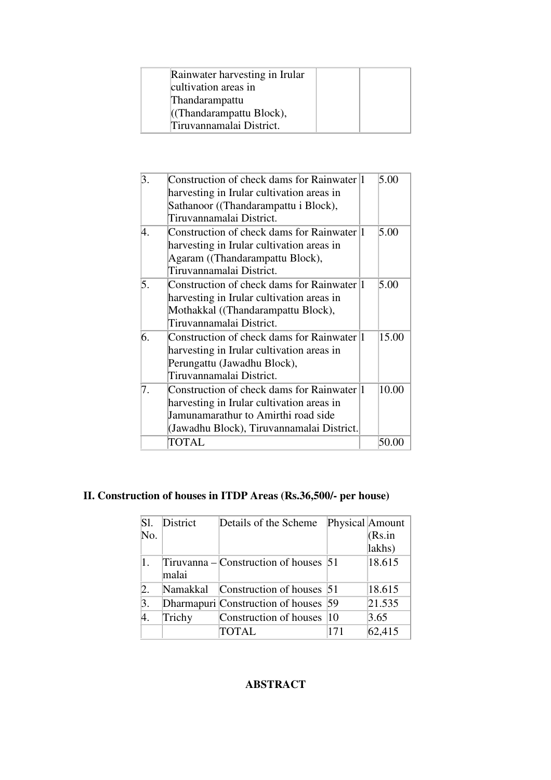| Rainwater harvesting in Irular |
|--------------------------------|
| cultivation areas in           |
| Thandarampattu                 |
| ((Thandarampattu Block),       |
| Tiruvannamalai District.       |

| 3. | Construction of check dams for Rainwater 1<br>harvesting in Irular cultivation areas in | 5.00  |
|----|-----------------------------------------------------------------------------------------|-------|
|    | Sathanoor ((Thandarampattu i Block),                                                    |       |
|    | Tiruvannamalai District.                                                                |       |
|    |                                                                                         |       |
| 4. | Construction of check dams for Rainwater 1                                              | 5.00  |
|    | harvesting in Irular cultivation areas in                                               |       |
|    | Agaram ((Thandarampattu Block),                                                         |       |
|    | Tiruvannamalai District.                                                                |       |
| 5. | Construction of check dams for Rainwater 1                                              | 5.00  |
|    | harvesting in Irular cultivation areas in                                               |       |
|    | Mothakkal ((Thandarampattu Block),                                                      |       |
|    | Tiruvannamalai District.                                                                |       |
| 6. | Construction of check dams for Rainwater 1                                              | 15.00 |
|    |                                                                                         |       |
|    | harvesting in Irular cultivation areas in                                               |       |
|    | Perungattu (Jawadhu Block),                                                             |       |
|    | Tiruvannamalai District.                                                                |       |
| 7. | Construction of check dams for Rainwater 1                                              | 10.00 |
|    | harvesting in Irular cultivation areas in                                               |       |
|    | Jamunamarathur to Amirthi road side                                                     |       |
|    | (Jawadhu Block), Tiruvannamalai District.                                               |       |
|    | TOTAL                                                                                   | 50.00 |
|    |                                                                                         |       |

# **II. Construction of houses in ITDP Areas (Rs.36,500/- per house)**

| S1.              | District | Details of the Scheme                     | Physical Amount |        |
|------------------|----------|-------------------------------------------|-----------------|--------|
| No.              |          |                                           |                 | (Rs.in |
|                  |          |                                           |                 | lakhs) |
|                  | malai    | Tiruvanna – Construction of houses $ 51 $ |                 | 18.615 |
| $\overline{2}$ . | Namakkal | Construction of houses 51                 |                 | 18.615 |
| 3.               |          | Dharmapuri Construction of houses 59      |                 | 21.535 |
| 4.               | Trichy   | Construction of houses  10                |                 | 3.65   |
|                  |          | TOTAL                                     | 171             | 62,415 |

## **ABSTRACT**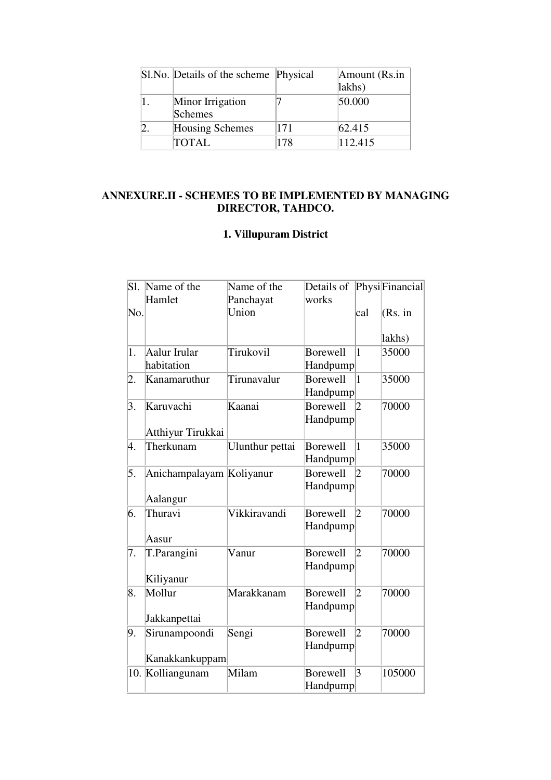| Sl.No. Details of the scheme Physical |     | Amount (Rs.in |
|---------------------------------------|-----|---------------|
|                                       |     | lakhs)        |
| Minor Irrigation<br>Schemes           |     | 50.000        |
| Housing Schemes                       | 171 | 62.415        |
| <b>TOTAL</b>                          | 178 | 112.415       |

## **ANNEXURE.II - SCHEMES TO BE IMPLEMENTED BY MANAGING DIRECTOR, TAHDCO.**

# **1. Villupuram District**

| Sl. | Name of the<br>Hamlet                | Name of the        | Details of<br>works                |                         | PhysiFinancial |
|-----|--------------------------------------|--------------------|------------------------------------|-------------------------|----------------|
| No. |                                      | Panchayat<br>Union |                                    | cal                     | (Rs. in        |
|     |                                      |                    |                                    |                         | lakhs)         |
| 1.  | Aalur Irular<br>habitation           | Tirukovil          | Borewell<br>Handpump               | $\mathbf{1}$            | 35000          |
| 2.  | Kanamaruthur                         | Tirunavalur        | <b>Borewell</b><br>Handpump        | $\vert$ 1               | 35000          |
| 3.  | Karuvachi<br>Atthiyur Tirukkai       | Kaanai             | <b>Borewell</b><br><b>Handpump</b> | $\overline{2}$          | 70000          |
| 4.  | Therkunam                            | Ulunthur pettai    | Borewell<br>Handpump               | $\overline{1}$          | 35000          |
| 5.  | Anichampalayam Koliyanur<br>Aalangur |                    | <b>Borewell</b><br>Handpump        | $ 2\rangle$             | 70000          |
| 6.  | Thuravi<br>Aasur                     | Vikkiravandi       | Borewell<br>Handpump               | $ 2\rangle$             | 70000          |
| 7.  | T.Parangini<br>Kiliyanur             | Vanur              | Borewell<br><b>Handpump</b>        | $\overline{2}$          | 70000          |
| 8.  | Mollur<br>Jakkanpettai               | Marakkanam         | Borewell<br>Handpump               | $ 2\rangle$             | 70000          |
| 9.  | Sirunampoondi<br>Kanakkankuppam      | Sengi              | Borewell<br>Handpump               | $ 2\rangle$             | 70000          |
| 10. | Kolliangunam                         | Milam              | Borewell<br>Handpump               | $\overline{\mathbf{3}}$ | 105000         |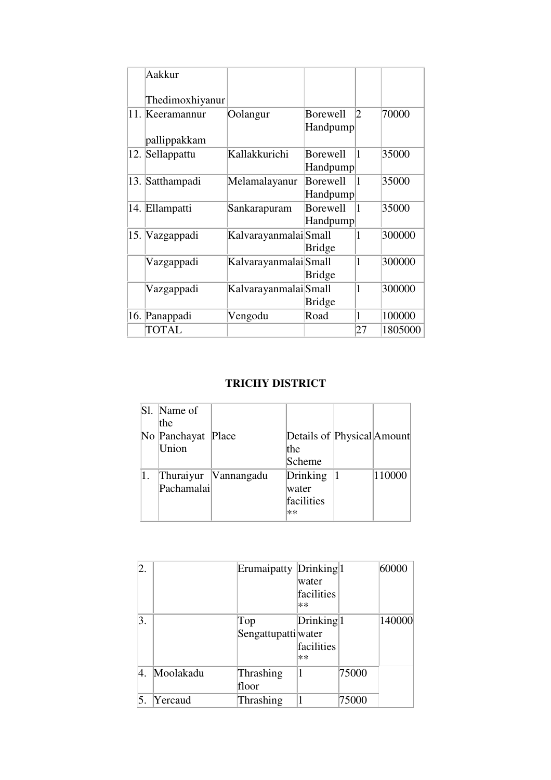|     | Aakkur                      |                       |                             |    |         |
|-----|-----------------------------|-----------------------|-----------------------------|----|---------|
|     | Thedimoxhiyanur             |                       |                             |    |         |
| 11. | Keeramannur<br>pallippakkam | Oolangur              | <b>Borewell</b><br>Handpump | 2  | 70000   |
|     | 12. Sellappattu             | Kallakkurichi         | <b>Borewell</b><br>Handpump | 1  | 35000   |
|     | 13. Satthampadi             | Melamalayanur         | <b>Borewell</b><br>Handpump | 1  | 35000   |
|     | 14. Ellampatti              | Sankarapuram          | <b>Borewell</b><br>Handpump | 1  | 35000   |
|     | 15. Vazgappadi              | Kalvarayanmalai Small | <b>Bridge</b>               | 1  | 300000  |
|     | Vazgappadi                  | Kalvarayanmalai Small | Bridge                      | 1  | 300000  |
|     | Vazgappadi                  | KalvarayanmalaiSmall  | Bridge                      | 1  | 300000  |
|     | 16. Panappadi               | Vengodu               | Road                        | 1  | 100000  |
|     | <b>TOTAL</b>                |                       |                             | 27 | 1805000 |

## **TRICHY DISTRICT**

|            | Sl. Name of        |                      |                            |        |
|------------|--------------------|----------------------|----------------------------|--------|
|            | the                |                      |                            |        |
|            | No Panchayat Place |                      | Details of Physical Amount |        |
|            | Union              |                      | the                        |        |
|            |                    |                      | Scheme                     |        |
| $\vert 1.$ |                    | Thuraiyur Vannangadu | Drinking                   | 110000 |
|            | Pachamalai         |                      | water                      |        |
|            |                    |                      | facilities                 |        |
|            |                    |                      | $**$                       |        |

| 2. |           | Erumaipatty Drinking <sup>1</sup> | water<br>facilities<br>$**$               |       | 60000  |
|----|-----------|-----------------------------------|-------------------------------------------|-------|--------|
| 3. |           | Top<br>Sengattupattiwater         | Drinking <sup>1</sup><br>facilities<br>** |       | 140000 |
| 4. | Moolakadu | Thrashing<br>floor                | 1                                         | 75000 |        |
| 5. | Yercaud   | Thrashing                         |                                           | 75000 |        |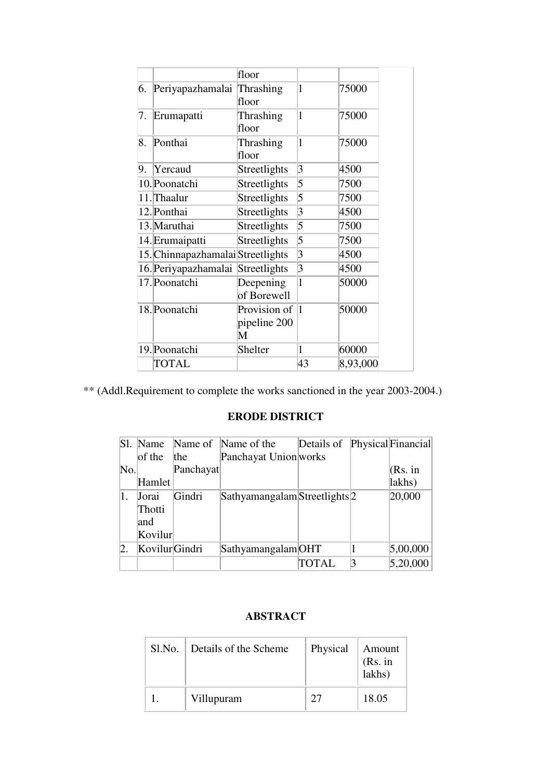|    |                                   | floor                             |                |          |
|----|-----------------------------------|-----------------------------------|----------------|----------|
| 6. | Periyapazhamalai                  | Thrashing<br>floor                | 1              | 75000    |
| 7. | Erumapatti                        | Thrashing<br>floor                | 1              | 75000    |
| 8. | Ponthai                           | Thrashing<br>floor                | 1              | 75000    |
| 9. | Yercaud                           | Streetlights                      | $\overline{3}$ | 4500     |
|    | 10. Poonatchi                     | Streetlights                      | 5              | 7500     |
|    | 11. Thaalur                       | Streetlights                      | 5              | 7500     |
|    | 12. Ponthai                       | Streetlights                      | 3              | 4500     |
|    | 13. Maruthai                      | Streetlights                      | 5              | 7500     |
|    | 14. Erumaipatti                   | Streetlights                      | 5              | 7500     |
|    | 15. Chinnapazhamalai Streetlights |                                   | $\overline{3}$ | 4500     |
|    | 16. Periyapazhamalai              | Streetlights                      | $\overline{3}$ | 4500     |
|    | 17. Poonatchi                     | Deepening<br>of Borewell          | 1              | 50000    |
|    | 18. Poonatchi                     | Provision of<br>pipeline 200<br>М | 1              | 50000    |
|    | 19. Poonatchi                     | Shelter                           | 1              | 60000    |
|    | TOTAL                             |                                   | 43             | 8,93,000 |

\*\* (Addl.Requirement to complete the works sanctioned in the year 2003-2004.)

# **ERODE DISTRICT**

|     | Sl. Name       |           | Name of Name of the                      | Details of   |   | Physical Financial |
|-----|----------------|-----------|------------------------------------------|--------------|---|--------------------|
|     | of the $ $ the |           | Panchayat Union works                    |              |   |                    |
| No. |                | Panchayat |                                          |              |   | (Rs. in            |
|     | Hamlet         |           |                                          |              |   | lakhs)             |
| 1.  | Jorai          | Gindri    | Sathyamangalam Streetlights <sup>2</sup> |              |   | 20,000             |
|     | Thotti         |           |                                          |              |   |                    |
|     | and            |           |                                          |              |   |                    |
|     | Kovilur        |           |                                          |              |   |                    |
|     | KovilurGindri  |           | Sathyamangalam OHT                       |              |   | 5,00,000           |
|     |                |           |                                          | <b>TOTAL</b> | 3 | 5,20,000           |

# **ABSTRACT**

| Sl.No. | Details of the Scheme | Physical | Amount<br>(Rs. in<br>lakhs) |
|--------|-----------------------|----------|-----------------------------|
|        | Villupuram            | 27       | 18.05                       |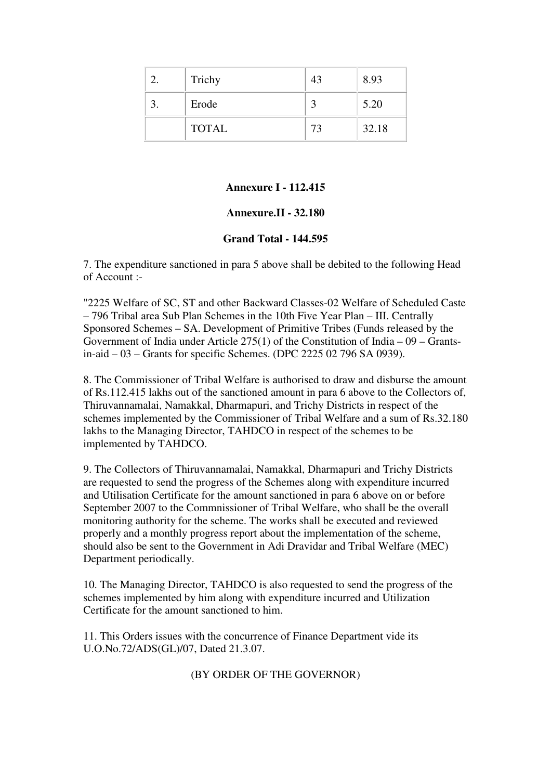| Trichy       |    | 8.93  |
|--------------|----|-------|
| Erode        |    | 5.20  |
| <b>TOTAL</b> | 73 | 32.18 |

#### **Annexure I - 112.415**

#### **Annexure.II - 32.180**

#### **Grand Total - 144.595**

7. The expenditure sanctioned in para 5 above shall be debited to the following Head of Account :-

"2225 Welfare of SC, ST and other Backward Classes-02 Welfare of Scheduled Caste – 796 Tribal area Sub Plan Schemes in the 10th Five Year Plan – III. Centrally Sponsored Schemes – SA. Development of Primitive Tribes (Funds released by the Government of India under Article 275(1) of the Constitution of India – 09 – Grantsin-aid – 03 – Grants for specific Schemes. (DPC 2225 02 796 SA 0939).

8. The Commissioner of Tribal Welfare is authorised to draw and disburse the amount of Rs.112.415 lakhs out of the sanctioned amount in para 6 above to the Collectors of, Thiruvannamalai, Namakkal, Dharmapuri, and Trichy Districts in respect of the schemes implemented by the Commissioner of Tribal Welfare and a sum of Rs.32.180 lakhs to the Managing Director, TAHDCO in respect of the schemes to be implemented by TAHDCO.

9. The Collectors of Thiruvannamalai, Namakkal, Dharmapuri and Trichy Districts are requested to send the progress of the Schemes along with expenditure incurred and Utilisation Certificate for the amount sanctioned in para 6 above on or before September 2007 to the Commnissioner of Tribal Welfare, who shall be the overall monitoring authority for the scheme. The works shall be executed and reviewed properly and a monthly progress report about the implementation of the scheme, should also be sent to the Government in Adi Dravidar and Tribal Welfare (MEC) Department periodically.

10. The Managing Director, TAHDCO is also requested to send the progress of the schemes implemented by him along with expenditure incurred and Utilization Certificate for the amount sanctioned to him.

11. This Orders issues with the concurrence of Finance Department vide its U.O.No.72/ADS(GL)/07, Dated 21.3.07.

(BY ORDER OF THE GOVERNOR)